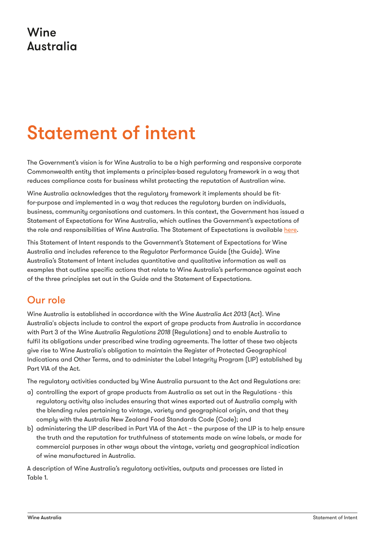## Wine **Australia**

# Statement of intent

The Government's vision is for Wine Australia to be a high performing and responsive corporate Commonwealth entity that implements a principles-based regulatory framework in a way that reduces compliance costs for business whilst protecting the reputation of Australian wine.

Wine Australia acknowledges that the regulatory framework it implements should be fitfor-purpose and implemented in a way that reduces the regulatory burden on individuals, business, community organisations and customers. In this context, the Government has issued a Statement of Expectations for Wine Australia, which outlines the Government's expectations of the role and responsibilities of Wine Australia. The Statement of Expectations is available [here](http://www.wineaustralia.com/getmedia/b7b2f063-9713-4eb5-bb1f-c78f42082590/1-MS22-000026-Littleproud-to-Allan.pdf).

This Statement of Intent responds to the Government's Statement of Expectations for Wine Australia and includes reference to the Regulator Performance Guide (the Guide). Wine Australia's Statement of Intent includes quantitative and qualitative information as well as examples that outline specific actions that relate to Wine Australia's performance against each of the three principles set out in the Guide and the Statement of Expectations.

### Our role

Wine Australia is established in accordance with the *Wine Australia Act 2013* (Act). Wine Australia's objects include to control the export of grape products from Australia in accordance with Part 3 of the *Wine Australia Regulations 2018* (Regulations) and to enable Australia to fulfil its obligations under prescribed wine trading agreements. The latter of these two objects give rise to Wine Australia's obligation to maintain the Register of Protected Geographical Indications and Other Terms, and to administer the Label Integrity Program (LIP) established by Part VIA of the Act.

The regulatory activities conducted by Wine Australia pursuant to the Act and Regulations are:

- a) controlling the export of grape products from Australia as set out in the Regulations this regulatory activity also includes ensuring that wines exported out of Australia comply with the blending rules pertaining to vintage, variety and geographical origin, and that they comply with the Australia New Zealand Food Standards Code (Code); and
- b) administering the LIP described in Part VIA of the Act the purpose of the LIP is to help ensure the truth and the reputation for truthfulness of statements made on wine labels, or made for commercial purposes in other ways about the vintage, variety and geographical indication of wine manufactured in Australia.

A description of Wine Australia's regulatory activities, outputs and processes are listed in Table 1.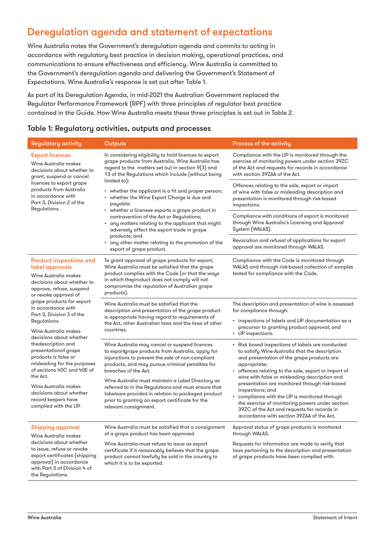## Deregulation agenda and statement of expectations

Wine Australia notes the Government's deregulation agenda and commits to acting in accordance with regulatory best practice in decision making, operational practices, and communications to ensure effectiveness and efficiency. Wine Australia is committed to the Government's deregulation agenda and delivering the Government's Statement of Expectations. Wine Australia's response is set out after Table 1.

As part of its Deregulation Agenda, in mid-2021 the Australian Government replaced the Regulator Performance Framework (RPF) with three principles of regulator best practice contained in the Guide. How Wine Australia meets these three principles is set out in Table 2.

#### Table 1: Regulatory activities, outputs and processes

| <b>Regulatory activity</b>                                                                                                                                                                                                                                                                                                                                                                                                                                                                                                                                         | Outputs                                                                                                                                                                                                                                                                                                                                                                                                                                                                         | Process of the activity                                                                                                                                                                                                                                                                                                                                                                                                                                                                                                                         |  |  |  |
|--------------------------------------------------------------------------------------------------------------------------------------------------------------------------------------------------------------------------------------------------------------------------------------------------------------------------------------------------------------------------------------------------------------------------------------------------------------------------------------------------------------------------------------------------------------------|---------------------------------------------------------------------------------------------------------------------------------------------------------------------------------------------------------------------------------------------------------------------------------------------------------------------------------------------------------------------------------------------------------------------------------------------------------------------------------|-------------------------------------------------------------------------------------------------------------------------------------------------------------------------------------------------------------------------------------------------------------------------------------------------------------------------------------------------------------------------------------------------------------------------------------------------------------------------------------------------------------------------------------------------|--|--|--|
| <b>Export licences</b><br>Wine Australia makes<br>decisions about whether to<br>grant, suspend or cancel<br>licences to export grape<br>products from Australia<br>in accordance with<br>Part 3, Division 2 of the<br>Regulations.                                                                                                                                                                                                                                                                                                                                 | In considering eligibility to hold licences to export<br>grape products from Australia, Wine Australia has<br>regard to the matters set out in section 9(3) and<br>13 of the Regulations which include (without being<br>limited to):                                                                                                                                                                                                                                           | Compliance with the LIP is monitored through the<br>exercise of monitoring powers under section 39ZC<br>of the Act and requests for records in accordance<br>with section 39ZAA of the Act.                                                                                                                                                                                                                                                                                                                                                     |  |  |  |
|                                                                                                                                                                                                                                                                                                                                                                                                                                                                                                                                                                    | • whether the applicant is a fit and proper person;<br>• whether the Wine Export Charge is due and<br>payable;<br>• whether a licensee exports a grape product in<br>contravention of the Act or Regulations;<br>• any matters relating to the applicant that might<br>adversely affect the export trade in grape<br>products; and<br>• any other matter relating to the promotion of the<br>export of grape product.                                                           | Offences relating to the sale, export or import<br>of wine with false or misleading description and<br>presentation is monitored through risk-based<br>inspections.                                                                                                                                                                                                                                                                                                                                                                             |  |  |  |
|                                                                                                                                                                                                                                                                                                                                                                                                                                                                                                                                                                    |                                                                                                                                                                                                                                                                                                                                                                                                                                                                                 | Compliance with conditions of export is monitored<br>through Wine Australia's Licensing and Approval<br>System (WALAS).                                                                                                                                                                                                                                                                                                                                                                                                                         |  |  |  |
|                                                                                                                                                                                                                                                                                                                                                                                                                                                                                                                                                                    |                                                                                                                                                                                                                                                                                                                                                                                                                                                                                 | Revocation and refusal of applications for export<br>approval are monitored through WALAS.                                                                                                                                                                                                                                                                                                                                                                                                                                                      |  |  |  |
| <b>Product inspections and</b><br>label approvals<br>Wine Australia makes<br>decisions about whether to<br>approve, refuse, suspend<br>or revoke approval of<br>grape products for export<br>in accordance with<br>Part 3, Division 3 of the<br>Regulations.<br>Wine Australia makes<br>decisions about whether<br>thedescription and<br>presentationof grape<br>products is false or<br>misleading for the purposes<br>of sections 40C and 40E of<br>the Act.<br>Wine Australia makes<br>decisions about whether<br>record keepers have<br>complied with the LIP. | To grant approval of grape products for export,<br>Wine Australia must be satisfied that the grape<br>product complies with the Code (or that the ways<br>in which theproduct does not comply will not<br>compromise the reputation of Australian grape<br>products).                                                                                                                                                                                                           | Compliance with the Code is monitored through<br>WALAS and through risk-based collection of samples<br>tested for compliance with the Code.                                                                                                                                                                                                                                                                                                                                                                                                     |  |  |  |
|                                                                                                                                                                                                                                                                                                                                                                                                                                                                                                                                                                    | Wine Australia must be satisfied that the<br>description and presentation of the grape product<br>is appropriate having regard to requirements of<br>the Act, other Australian laws and the laws of other<br>countries.                                                                                                                                                                                                                                                         | The description and presentation of wine is assessed<br>for compliance through:<br>· inspections of labels and LIP documentation as a<br>precursor to granting product approval; and<br>• LIP inspections.                                                                                                                                                                                                                                                                                                                                      |  |  |  |
|                                                                                                                                                                                                                                                                                                                                                                                                                                                                                                                                                                    | Wine Australia may cancel or suspend licences<br>to exportgrape products from Australia, apply for<br>injunctions to prevent the sale of non-compliant<br>products, and may pursue criminal penalties for<br>breaches of the Act.<br>Wine Australia must maintain a Label Directory as<br>referred to in the Regulations and must ensure that<br>labelsare provided in relation to packaged product<br>prior to granting an export certificate for the<br>relevant consignment. | • Risk based inspections of labels are conducted<br>to satisfy Wine Australia that the description<br>and presentation of the grape products are<br>appropriate;<br>• offences relating to the sale, export or import of<br>wine with false or misleading description and<br>presentation are monitored through risk-based<br>inspections; and<br>• compliance with the LIP is monitored through<br>the exercise of monitoring powers under section<br>39ZC of the Act and requests for records in<br>accordance with section 39ZAA of the Act. |  |  |  |
| <b>Shipping approval</b><br>Wine Australia makes<br>decisions about whether<br>to issue, refuse or revoke<br>export certificates (shipping<br>approval) in accordance<br>with Part 3 of Division 4 of<br>the Regulations.                                                                                                                                                                                                                                                                                                                                          | Wine Australia must be satisfied that a consignment                    Approval status of grape products is monitored<br>of a grape product has been approved.<br>Wine Australia must refuse to issue as export<br>certificate if it reasonably believes that the grape<br>product cannot lawfully be sold in the country to<br>which it is to be exported.                                                                                                                     | through WALAS.<br>Requests for information are made to verify that<br>laws pertaining to the description and presentation<br>of grape products have been complied with.                                                                                                                                                                                                                                                                                                                                                                         |  |  |  |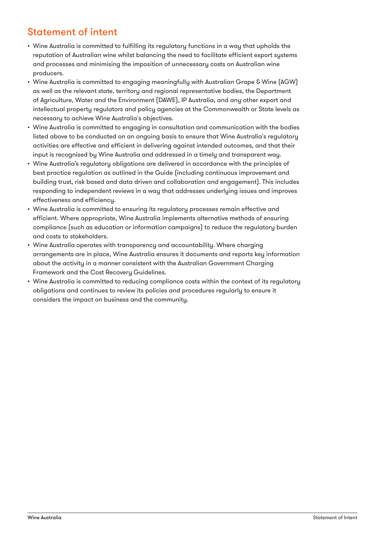## Statement of intent

- Wine Australia is committed to fulfilling its regulatory functions in a way that upholds the reputation of Australian wine whilst balancing the need to facilitate efficient export systems and processes and minimising the imposition of unnecessary costs on Australian wine producers.
- Wine Australia is committed to engaging meaningfully with Australian Grape & Wine (AGW) as well as the relevant state, territory and regional representative bodies, the Department of Agriculture, Water and the Environment (DAWE), IP Australia, and any other export and intellectual property regulators and policy agencies at the Commonwealth or State levels as necessary to achieve Wine Australia's objectives.
- Wine Australia is committed to engaging in consultation and communication with the bodies listed above to be conducted on an ongoing basis to ensure that Wine Australia's regulatory activities are effective and efficient in delivering against intended outcomes, and that their input is recognised by Wine Australia and addressed in a timely and transparent way.
- Wine Australia's regulatory obligations are delivered in accordance with the principles of best practice regulation as outlined in the Guide (including continuous improvement and building trust, risk based and data driven and collaboration and engagement). This includes responding to independent reviews in a way that addresses underlying issues and improves effectiveness and efficiency.
- Wine Australia is committed to ensuring its regulatory processes remain effective and efficient. Where appropriate, Wine Australia implements alternative methods of ensuring compliance (such as education or information campaigns) to reduce the regulatory burden and costs to stakeholders.
- Wine Australia operates with transparency and accountability. Where charging arrangements are in place, Wine Australia ensures it documents and reports key information about the activity in a manner consistent with the Australian Government Charging Framework and the Cost Recovery Guidelines.
- Wine Australia is committed to reducing compliance costs within the context of its regulatory obligations and continues to review its policies and procedures regularly to ensure it considers the impact on business and the community.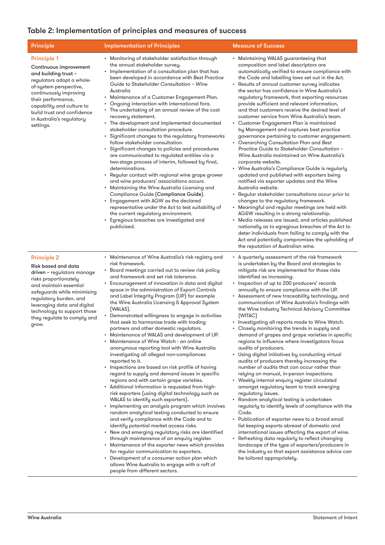#### Table 2: Implementation of principles and measures of success

| <b>Principle</b>                                                                                                                                                                                                                                                                          | <b>Implementation of Principles</b>                                                                                                                                                                                                                                                                                                                                                                                                                                                                                                                                                                                                                                                                                                                                                                                                                                                                                                                                                                                                                                                                                                                                                                                                                                                                                                                                                                                                                          | <b>Measure of Success</b>                                                                                                                                                                                                                                                                                                                                                                                                                                                                                                                                                                                                                                                                                                                                                                                                                                                                                                                                                                                                                                                                                                                                                                                                                                                                                                                                                                                                              |
|-------------------------------------------------------------------------------------------------------------------------------------------------------------------------------------------------------------------------------------------------------------------------------------------|--------------------------------------------------------------------------------------------------------------------------------------------------------------------------------------------------------------------------------------------------------------------------------------------------------------------------------------------------------------------------------------------------------------------------------------------------------------------------------------------------------------------------------------------------------------------------------------------------------------------------------------------------------------------------------------------------------------------------------------------------------------------------------------------------------------------------------------------------------------------------------------------------------------------------------------------------------------------------------------------------------------------------------------------------------------------------------------------------------------------------------------------------------------------------------------------------------------------------------------------------------------------------------------------------------------------------------------------------------------------------------------------------------------------------------------------------------------|----------------------------------------------------------------------------------------------------------------------------------------------------------------------------------------------------------------------------------------------------------------------------------------------------------------------------------------------------------------------------------------------------------------------------------------------------------------------------------------------------------------------------------------------------------------------------------------------------------------------------------------------------------------------------------------------------------------------------------------------------------------------------------------------------------------------------------------------------------------------------------------------------------------------------------------------------------------------------------------------------------------------------------------------------------------------------------------------------------------------------------------------------------------------------------------------------------------------------------------------------------------------------------------------------------------------------------------------------------------------------------------------------------------------------------------|
| <b>Principle 1</b><br>Continuous improvement<br>and building trust -<br>regulators adopt a whole-<br>of-system perspective,<br>continuously improving<br>their performance,<br>capability and culture to<br>build trust and confidence<br>in Australia's regulatory<br>settings.          | • Monitoring of stakeholder satisfaction through<br>the annual stakeholder survey.<br>• Implementation of a consultation plan that has<br>been developed in accordance with Best Practice<br>Guide to Stakeholder Consultation - Wine<br>Australia.<br>• Maintenance of a Customer Engagement Plan.<br>• Ongoing interaction with international fora.<br>• The undertaking of an annual review of the cost<br>recovery statement.<br>• The development and implemented documented<br>stakeholder consultation procedure.<br>• Significant changes to the regulatory frameworks<br>follow stakeholder consultation.<br>Significant changes to policies and procedures<br>are communicated to regulated entities via a<br>two-stage process of interim, followed by final,<br>determinations.<br>Regular contact with regional wine grape grower<br>and wine producers' associations occurs.<br>• Maintaining the Wine Australia Licensing and<br>Compliance Guide (Compliance Guide).<br>• Engagement with AGW as the declared<br>representative under the Act to test suitability of<br>the current regulatory environment.<br>• Egregious breaches are investigated and<br>publicised.                                                                                                                                                                                                                                                                      | • Maintaining WALAS guaranteeing that<br>composition and label descriptors are<br>automatically verified to ensure compliance with<br>the Code and labelling laws set out in the Act.<br>• Results of annual customer survey indicates<br>the sector has confidence in Wine Australia's<br>regulatory framework, that exporting resources<br>provide sufficient and relevant information,<br>and that customers receive the desired level of<br>customer service from Wine Australia's team.<br>• Customer Engagement Plan is maintained<br>by Management and captures best practice<br>governance pertaining to customer engagement.<br>• Overarching Consultation Plan and Best<br>Practice Guide to Stakeholder Consultation -<br>Wine Australia maintained on Wine Australia's<br>corporate website.<br>• Wine Australia's Compliance Guide is regularly<br>updated and published with exporters being<br>notified via exporter updates and the Wine<br>Australia website.<br>• Regular stakeholder consultations occur prior to<br>changes to the regulatory framework.<br>• Meaningful and regular meetings are held with<br>AG&W resulting in a strong relationship.<br>• Media releases are issued, and articles published<br>nationally as to egregious breaches of the Act to<br>deter individuals from failing to comply with the<br>Act and potentially compromises the upholding of<br>the reputation of Australian wine. |
| <b>Principle 2</b><br>Risk based and data<br>driven - regulators manage<br>risks proportionately<br>and maintain essential<br>safeguards while minimising<br>regulatory burden, and<br>leveraging data and digital<br>technology to support those<br>they regulate to comply and<br>grow. | • Maintenance of Wine Australia's risk registry and<br>risk framework.<br>• Board meetings carried out to review risk policy<br>and framework and set risk tolerance.<br>• Encouragement of innovation in data and digital<br>space in the administration of Export Controls<br>and Label Integrity Program (LIP) for example<br>the Wine Australia Licensing & Approval System<br>(WALAS).<br>• Demonstrated willingness to engage in activities<br>that seek to harmonise trade with trading<br>partners and other domestic regulators.<br>• Maintenance of WALAS and development of LIP.<br>• Maintenance of Wine Watch - an online<br>anonymous reporting tool with Wine Australia<br>investigating all alleged non-compliances<br>reported to it.<br>• Inspections are based on risk profile of having<br>regard to supply and demand issues in specific<br>regions and with certain grape varieties.<br>• Additional information is requested from high-<br>risk exporters (using digital technology such as<br>WALAS to identify such exporters).<br>• Implementing an analysis program which involves<br>random analytical testing conducted to ensure<br>and verify compliance with the Code and to<br>identify potential market access risks.<br>• New and emerging regulatory risks are identified<br>through maintenance of an enquiry register.<br>• Maintenance of the exporter news which provides<br>for regular communication to exporters. | • A quarterly assessment of the risk framework<br>is undertaken by the Board and strategies to<br>mitigate risk are implemented for those risks<br>identified as increasing.<br>• Inspection of up to 200 producers' records<br>annually to ensure compliance with the LIP.<br>• Assessment of new traceability technology, and<br>communication of Wine Australia's findings with<br>the Wine Industry Technical Advisory Committee<br>[WITAC]<br>• Investigating all reports made to Wine Watch.<br>• Closely monitoring the trends in supply and<br>demand of grapes and grape varieties in specific<br>regions to influence where investigators focus<br>audits of producers.<br>• Using digital initiatives by conducting virtual<br>audits of producers thereby increasing the<br>number of audits that can occur rather than<br>relying on manual, in-person inspections.<br>• Weekly internal enquiry register circulated<br>amongst regulatory team to track emerging<br>regulatory issues.<br>• Random analytical testing is undertaken<br>regularly to identify levels of compliance with the<br>Code.<br>• Publication of exporter news to a broad email<br>list keeping exports abreast of domestic and<br>international issues affecting the export of wine.<br>• Refreshing data regularly to reflect changing<br>landscape of the type of exporters/producers in<br>the industry so that export assistance advice can  |

• Development of a consumer action plan which allows Wine Australia to engage with a raft of

people from different sectors.

be tailored appropriately.